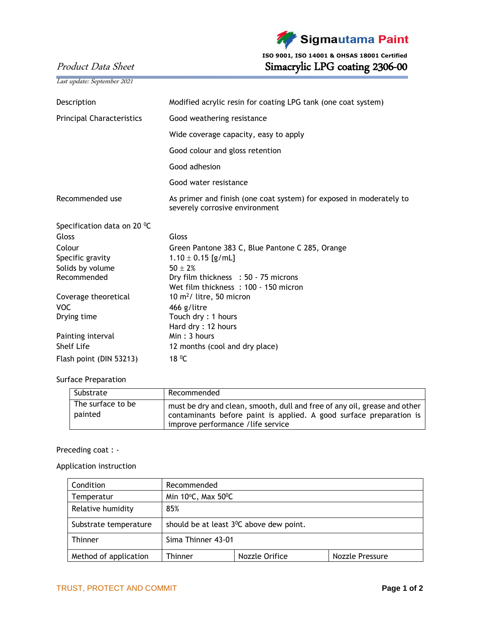

 **ISO 9001, ISO 14001 & OHSAS 18001 Certified** Product Data Sheet Simacrylic LPG coating 2306-00

Last update: September 2021

| Description                      | Modified acrylic resin for coating LPG tank (one coat system)                                         |  |
|----------------------------------|-------------------------------------------------------------------------------------------------------|--|
| <b>Principal Characteristics</b> | Good weathering resistance                                                                            |  |
|                                  | Wide coverage capacity, easy to apply                                                                 |  |
|                                  | Good colour and gloss retention                                                                       |  |
|                                  | Good adhesion                                                                                         |  |
|                                  | Good water resistance                                                                                 |  |
| Recommended use                  | As primer and finish (one coat system) for exposed in moderately to<br>severely corrosive environment |  |
| Specification data on 20 °C      |                                                                                                       |  |
| Gloss                            | Gloss                                                                                                 |  |
| Colour                           | Green Pantone 383 C, Blue Pantone C 285, Orange                                                       |  |
| Specific gravity                 | $1.10 \pm 0.15$ [g/mL]                                                                                |  |
| Solids by volume                 | $50 + 2%$                                                                                             |  |
| Recommended                      | Dry film thickness : 50 - 75 microns                                                                  |  |
|                                  | Wet film thickness: 100 - 150 micron                                                                  |  |
| Coverage theoretical             | 10 $m^2$ / litre, 50 micron                                                                           |  |
| <b>VOC</b>                       | 466 g/litre                                                                                           |  |
| Drying time                      | Touch dry: 1 hours                                                                                    |  |
|                                  | Hard dry: 12 hours                                                                                    |  |
| Painting interval                | Min: 3 hours                                                                                          |  |
| <b>Shelf Life</b>                | 12 months (cool and dry place)                                                                        |  |
| Flash point (DIN 53213)          | 18 <sup>0</sup> C                                                                                     |  |

## Surface Preparation

| Substrate                    | Recommended                                                                                                                                                                            |  |
|------------------------------|----------------------------------------------------------------------------------------------------------------------------------------------------------------------------------------|--|
| The surface to be<br>painted | must be dry and clean, smooth, dull and free of any oil, grease and other<br>contaminants before paint is applied. A good surface preparation is<br>improve performance / life service |  |

## Preceding coat : -

Application instruction

| Condition             | Recommended                                          |                |                 |
|-----------------------|------------------------------------------------------|----------------|-----------------|
| Temperatur            | Min $10^{\circ}$ C, Max $50^{\circ}$ C               |                |                 |
| Relative humidity     | 85%                                                  |                |                 |
| Substrate temperature | should be at least 3 <sup>0</sup> C above dew point. |                |                 |
| <b>Thinner</b>        | Sima Thinner 43-01                                   |                |                 |
| Method of application | <b>Thinner</b>                                       | Nozzle Orifice | Nozzle Pressure |